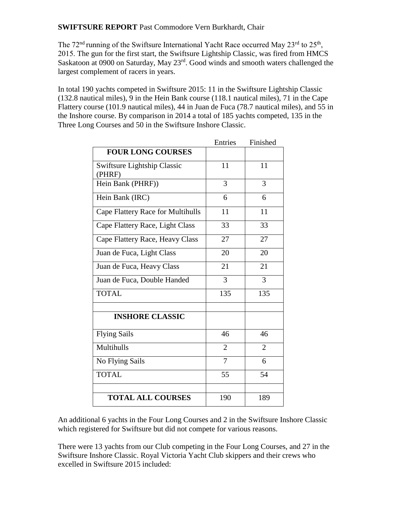**SWIFTSURE REPORT** Past Commodore Vern Burkhardt, Chair

The  $72<sup>nd</sup>$  running of the Swiftsure International Yacht Race occurred May  $23<sup>rd</sup>$  to  $25<sup>th</sup>$ , 2015. The gun for the first start, the Swiftsure Lightship Classic, was fired from HMCS Saskatoon at 0900 on Saturday, May 23<sup>rd</sup>. Good winds and smooth waters challenged the largest complement of racers in years.

In total 190 yachts competed in Swiftsure 2015: 11 in the Swiftsure Lightship Classic (132.8 nautical miles), 9 in the Hein Bank course (118.1 nautical miles), 71 in the Cape Flattery course (101.9 nautical miles), 44 in Juan de Fuca (78.7 nautical miles), and 55 in the Inshore course. By comparison in 2014 a total of 185 yachts competed, 135 in the Three Long Courses and 50 in the Swiftsure Inshore Classic.

|                                   | Entries        | Finished       |
|-----------------------------------|----------------|----------------|
| <b>FOUR LONG COURSES</b>          |                |                |
| Swiftsure Lightship Classic       | 11             | 11             |
| (PHRF)                            |                |                |
| Hein Bank (PHRF))                 | 3              | 3              |
| Hein Bank (IRC)                   | 6              | 6              |
| Cape Flattery Race for Multihulls | 11             | 11             |
| Cape Flattery Race, Light Class   | 33             | 33             |
| Cape Flattery Race, Heavy Class   | 27             | 27             |
| Juan de Fuca, Light Class         | 20             | 20             |
| Juan de Fuca, Heavy Class         | 21             | 21             |
| Juan de Fuca, Double Handed       | 3              | 3              |
| <b>TOTAL</b>                      | 135            | 135            |
|                                   |                |                |
| <b>INSHORE CLASSIC</b>            |                |                |
| <b>Flying Sails</b>               | 46             | 46             |
| Multihulls                        | $\overline{2}$ | $\overline{2}$ |
| No Flying Sails                   | $\overline{7}$ | 6              |
| <b>TOTAL</b>                      | 55             | 54             |
|                                   |                |                |
| <b>TOTAL ALL COURSES</b>          | 190            | 189            |

An additional 6 yachts in the Four Long Courses and 2 in the Swiftsure Inshore Classic which registered for Swiftsure but did not compete for various reasons.

There were 13 yachts from our Club competing in the Four Long Courses, and 27 in the Swiftsure Inshore Classic. Royal Victoria Yacht Club skippers and their crews who excelled in Swiftsure 2015 included: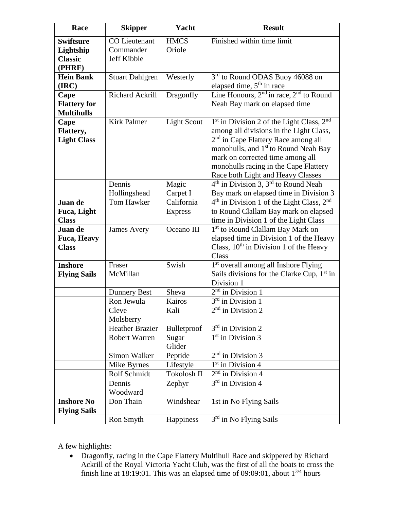| Race                                                      | <b>Skipper</b>                                          | Yacht                                    | <b>Result</b>                                                                                                                                                                                                                                                                                                     |
|-----------------------------------------------------------|---------------------------------------------------------|------------------------------------------|-------------------------------------------------------------------------------------------------------------------------------------------------------------------------------------------------------------------------------------------------------------------------------------------------------------------|
| <b>Swiftsure</b><br>Lightship<br><b>Classic</b><br>(PHRF) | <b>CO</b> Lieutenant<br>Commander<br><b>Jeff Kibble</b> | <b>HMCS</b><br>Oriole                    | Finished within time limit                                                                                                                                                                                                                                                                                        |
| <b>Hein Bank</b><br>(IRC)                                 | <b>Stuart Dahlgren</b>                                  | Westerly                                 | 3 <sup>rd</sup> to Round ODAS Buoy 46088 on<br>elapsed time, 5 <sup>th</sup> in race                                                                                                                                                                                                                              |
| Cape<br><b>Flattery for</b><br><b>Multihulls</b>          | Richard Ackrill                                         | Dragonfly                                | Line Honours, 2 <sup>nd</sup> in race, 2 <sup>nd</sup> to Round<br>Neah Bay mark on elapsed time                                                                                                                                                                                                                  |
| Cape<br>Flattery,<br><b>Light Class</b>                   | <b>Kirk Palmer</b>                                      | <b>Light Scout</b>                       | $1st$ in Division 2 of the Light Class, $2nd$<br>among all divisions in the Light Class,<br>2 <sup>nd</sup> in Cape Flattery Race among all<br>monohulls, and 1 <sup>st</sup> to Round Neah Bay<br>mark on corrected time among all<br>monohulls racing in the Cape Flattery<br>Race both Light and Heavy Classes |
|                                                           | Dennis<br>Hollingshead                                  | Magic                                    | $4th$ in Division 3, $3rd$ to Round Neah                                                                                                                                                                                                                                                                          |
| Juan de<br>Fuca, Light<br><b>Class</b>                    | Tom Hawker                                              | Carpet I<br>California<br><b>Express</b> | Bay mark on elapsed time in Division 3<br>$4th$ in Division 1 of the Light Class, $2nd$<br>to Round Clallam Bay mark on elapsed<br>time in Division 1 of the Light Class                                                                                                                                          |
| Juan de<br><b>Fuca, Heavy</b><br><b>Class</b>             | <b>James Avery</b>                                      | Oceano III                               | 1 <sup>st</sup> to Round Clallam Bay Mark on<br>elapsed time in Division 1 of the Heavy<br>Class, $10^{th}$ in Division 1 of the Heavy<br>Class                                                                                                                                                                   |
| <b>Inshore</b><br><b>Flying Sails</b>                     | Fraser<br>McMillan                                      | Swish                                    | 1 <sup>st</sup> overall among all Inshore Flying<br>Sails divisions for the Clarke Cup, $1st$ in<br>Division 1                                                                                                                                                                                                    |
|                                                           | <b>Dunnery Best</b>                                     | Sheva                                    | $2nd$ in Division 1                                                                                                                                                                                                                                                                                               |
|                                                           | Ron Jewula                                              | Kairos                                   | $3rd$ in Division 1                                                                                                                                                                                                                                                                                               |
|                                                           | Cleve<br>Molsberry                                      | Kali                                     | $2nd$ in Division 2                                                                                                                                                                                                                                                                                               |
|                                                           | <b>Heather Brazier</b>                                  | Bulletproof                              | $3rd$ in Division 2                                                                                                                                                                                                                                                                                               |
|                                                           | <b>Robert Warren</b>                                    | Sugar<br>Glider                          | $1st$ in Division 3                                                                                                                                                                                                                                                                                               |
|                                                           | Simon Walker                                            | Peptide                                  | $2nd$ in Division 3                                                                                                                                                                                                                                                                                               |
|                                                           | Mike Byrnes                                             | Lifestyle                                | $1st$ in Division 4                                                                                                                                                                                                                                                                                               |
|                                                           | Rolf Schmidt<br>Dennis<br>Woodward                      | Tokolosh II<br>Zephyr                    | $2nd$ in Division 4<br>$3rd$ in Division 4                                                                                                                                                                                                                                                                        |
| <b>Inshore No</b><br><b>Flying Sails</b>                  | Don Thain                                               | Windshear                                | 1st in No Flying Sails                                                                                                                                                                                                                                                                                            |
|                                                           | Ron Smyth                                               | Happiness                                | 3rd in No Flying Sails                                                                                                                                                                                                                                                                                            |

A few highlights:

 Dragonfly, racing in the Cape Flattery Multihull Race and skippered by Richard Ackrill of the Royal Victoria Yacht Club, was the first of all the boats to cross the finish line at 18:19:01. This was an elapsed time of 09:09:01, about  $1^{3/4}$  hours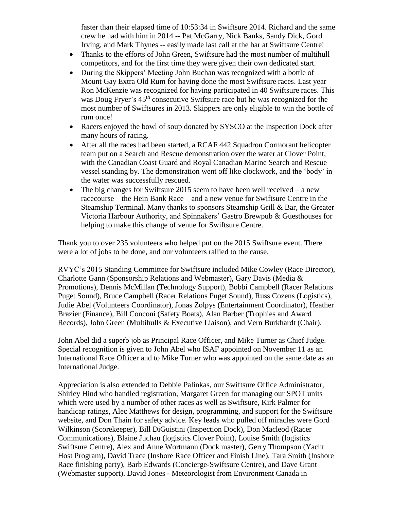faster than their elapsed time of 10:53:34 in Swiftsure 2014. Richard and the same crew he had with him in 2014 -- Pat McGarry, Nick Banks, Sandy Dick, Gord Irving, and Mark Thynes -- easily made last call at the bar at Swiftsure Centre!

- Thanks to the efforts of John Green, Swiftsure had the most number of multihull competitors, and for the first time they were given their own dedicated start.
- During the Skippers' Meeting John Buchan was recognized with a bottle of Mount Gay Extra Old Rum for having done the most Swiftsure races. Last year Ron McKenzie was recognized for having participated in 40 Swiftsure races. This was Doug Fryer's 45<sup>th</sup> consecutive Swiftsure race but he was recognized for the most number of Swiftsures in 2013. Skippers are only eligible to win the bottle of rum once!
- Racers enjoyed the bowl of soup donated by SYSCO at the Inspection Dock after many hours of racing.
- After all the races had been started, a RCAF 442 Squadron Cormorant helicopter team put on a Search and Rescue demonstration over the water at Clover Point, with the Canadian Coast Guard and Royal Canadian Marine Search and Rescue vessel standing by. The demonstration went off like clockwork, and the 'body' in the water was successfully rescued.
- The big changes for Swiftsure 2015 seem to have been well received  $-$  a new racecourse – the Hein Bank Race – and a new venue for Swiftsure Centre in the Steamship Terminal. Many thanks to sponsors Steamship Grill & Bar, the Greater Victoria Harbour Authority, and Spinnakers' Gastro Brewpub & Guesthouses for helping to make this change of venue for Swiftsure Centre.

Thank you to over 235 volunteers who helped put on the 2015 Swiftsure event. There were a lot of jobs to be done, and our volunteers rallied to the cause.

RVYC's 2015 Standing Committee for Swiftsure included Mike Cowley (Race Director), Charlotte Gann (Sponsorship Relations and Webmaster), Gary Davis (Media & Promotions), Dennis McMillan (Technology Support), Bobbi Campbell (Racer Relations Puget Sound), Bruce Campbell (Racer Relations Puget Sound), Russ Cozens (Logistics), Judie Abel (Volunteers Coordinator), Jonas Zolpys (Entertainment Coordinator), Heather Brazier (Finance), Bill Conconi (Safety Boats), Alan Barber (Trophies and Award Records), John Green (Multihulls & Executive Liaison), and Vern Burkhardt (Chair).

John Abel did a superb job as Principal Race Officer, and Mike Turner as Chief Judge. Special recognition is given to John Abel who ISAF appointed on November 11 as an International Race Officer and to Mike Turner who was appointed on the same date as an International Judge.

Appreciation is also extended to Debbie Palinkas, our Swiftsure Office Administrator, Shirley Hind who handled registration, Margaret Green for managing our SPOT units which were used by a number of other races as well as Swiftsure, Kirk Palmer for handicap ratings, Alec Matthews for design, programming, and support for the Swiftsure website, and Don Thain for safety advice. Key leads who pulled off miracles were Gord Wilkinson (Scorekeeper), Bill DiGuistini (Inspection Dock), Don Macleod (Racer Communications), Blaine Juchau (logistics Clover Point), Louise Smith (logistics Swiftsure Centre), Alex and Anne Wortmann (Dock master), Gerry Thompson (Yacht Host Program), David Trace (Inshore Race Officer and Finish Line), Tara Smith (Inshore Race finishing party), Barb Edwards (Concierge-Swiftsure Centre), and Dave Grant (Webmaster support). David Jones - Meteorologist from Environment Canada in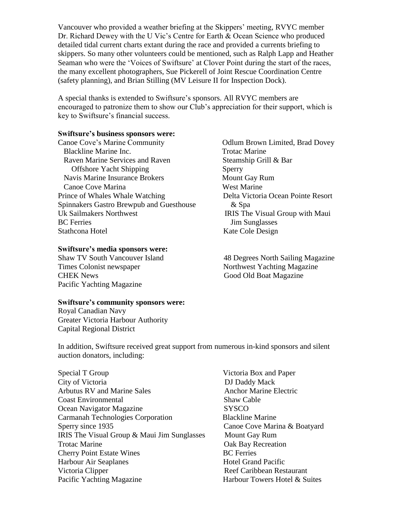Vancouver who provided a weather briefing at the Skippers' meeting, RVYC member Dr. Richard Dewey with the U Vic's Centre for Earth & Ocean Science who produced detailed tidal current charts extant during the race and provided a currents briefing to skippers. So many other volunteers could be mentioned, such as Ralph Lapp and Heather Seaman who were the 'Voices of Swiftsure' at Clover Point during the start of the races, the many excellent photographers, Sue Pickerell of Joint Rescue Coordination Centre (safety planning), and Brian Stilling (MV Leisure II for Inspection Dock).

A special thanks is extended to Swiftsure's sponsors. All RVYC members are encouraged to patronize them to show our Club's appreciation for their support, which is key to Swiftsure's financial success.

## **Swiftsure's business sponsors were:**

Canoe Cove's Marine Community **Canoe Cove's Marine Community** Odlum Brown Limited, Brad Dovey Blackline Marine Inc. Trotac Marine Raven Marine Services and Raven Steamship Grill & Bar Offshore Yacht Shipping Sperry Navis Marine Insurance Brokers Mount Gay Rum Canoe Cove Marina West Marine Prince of Whales Whale Watching Delta Victoria Ocean Pointe Resort Spinnakers Gastro Brewpub and Guesthouse  $\&$  Spa Uk Sailmakers Northwest IRIS The Visual Group with Maui BC Ferries Jim Sunglasses Stathcona Hotel Kate Cole Design

## **Swiftsure's media sponsors were:**

Times Colonist newspaper Northwest Yachting Magazine CHEK News Good Old Boat Magazine Pacific Yachting Magazine

## **Swiftsure's community sponsors were:**

Royal Canadian Navy Greater Victoria Harbour Authority Capital Regional District

Shaw TV South Vancouver Island 48 Degrees North Sailing Magazine

In addition, Swiftsure received great support from numerous in-kind sponsors and silent auction donators, including:

Special T Group Special T Group 1.1 and Paper 1.1 and Paper 1.1 and Paper 1.1 and Paper 1.1 and Paper 1.1 and Paper City of Victoria DJ Daddy Mack Arbutus RV and Marine Sales Anchor Marine Electric Coast Environmental Shaw Cable Ocean Navigator Magazine SYSCO Carmanah Technologies Corporation Blackline Marine Sperry since 1935 Canoe Cove Marina & Boatyard IRIS The Visual Group & Maui Jim Sunglasses Mount Gay Rum Trotac Marine **Oak Bay Recreation Cherry Point Estate Wines** BC Ferries Harbour Air Seaplanes Hotel Grand Pacific Victoria Clipper **Reef Caribbean Restaurant** Pacific Yachting Magazine Harbour Towers Hotel & Suites